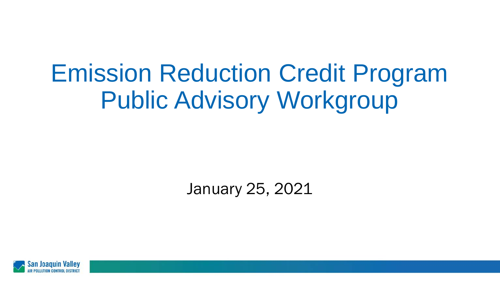# Emission Reduction Credit Program Public Advisory Workgroup

January 25, 2021

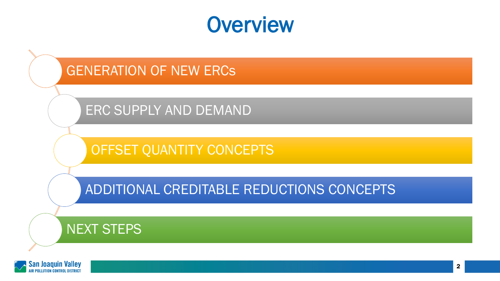#### **Overview**

#### GENERATION OF NEW ERCs

ERC SUPPLY AND DEMAND

OFFSET QUANTITY CONCEPTS

ADDITIONAL CREDITABLE REDUCTIONS CONCEPTS

#### NEXT STEPS

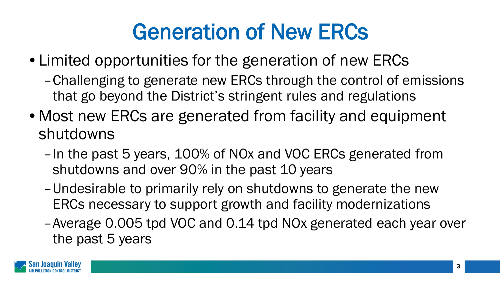#### Generation of New ERCs

- Limited opportunities for the generation of new ERCs
	- –Challenging to generate new ERCs through the control of emissions that go beyond the District's stringent rules and regulations
- Most new ERCs are generated from facility and equipment shutdowns
	- –In the past 5 years, 100% of NOx and VOC ERCs generated from shutdowns and over 90% in the past 10 years
	- –Undesirable to primarily rely on shutdowns to generate the new ERCs necessary to support growth and facility modernizations
	- –Average 0.005 tpd VOC and 0.14 tpd NOx generated each year over the past 5 years

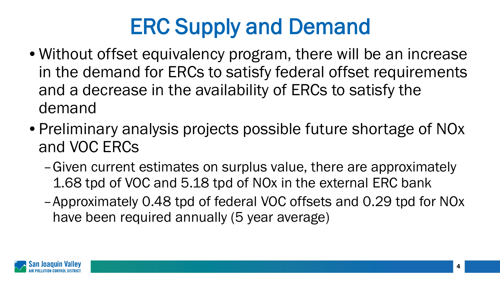## ERC Supply and Demand

- Without offset equivalency program, there will be an increase in the demand for ERCs to satisfy federal offset requirements and a decrease in the availability of ERCs to satisfy the demand
- Preliminary analysis projects possible future shortage of NOx and VOC ERCs
	- –Given current estimates on surplus value, there are approximately 1.68 tpd of VOC and 5.18 tpd of NOx in the external ERC bank
	- –Approximately 0.48 tpd of federal VOC offsets and 0.29 tpd for NOx have been required annually (5 year average)

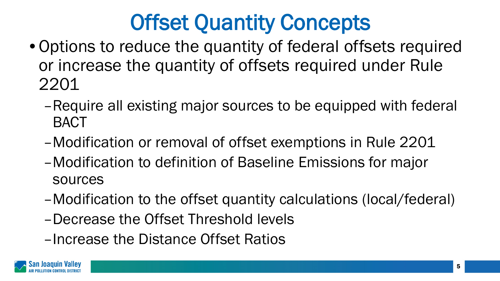### Offset Quantity Concepts

- Options to reduce the quantity of federal offsets required or increase the quantity of offsets required under Rule 2201
	- –Require all existing major sources to be equipped with federal BACT
	- –Modification or removal of offset exemptions in Rule 2201
	- –Modification to definition of Baseline Emissions for major sources
	- –Modification to the offset quantity calculations (local/federal)
	- –Decrease the Offset Threshold levels
	- –Increase the Distance Offset Ratios

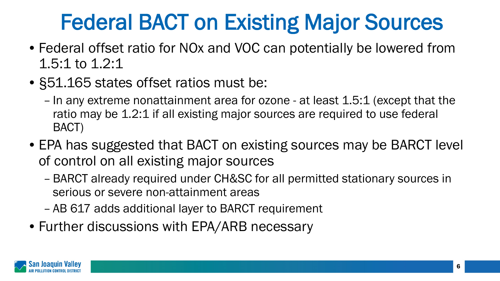### Federal BACT on Existing Major Sources

- Federal offset ratio for NOx and VOC can potentially be lowered from 1.5:1 to 1.2:1
- §51.165 states offset ratios must be:
	- In any extreme nonattainment area for ozone at least 1.5:1 (except that the ratio may be 1.2:1 if all existing major sources are required to use federal BACT)
- EPA has suggested that BACT on existing sources may be BARCT level of control on all existing major sources
	- BARCT already required under CH&SC for all permitted stationary sources in serious or severe non-attainment areas
	- AB 617 adds additional layer to BARCT requirement
- Further discussions with EPA/ARB necessary

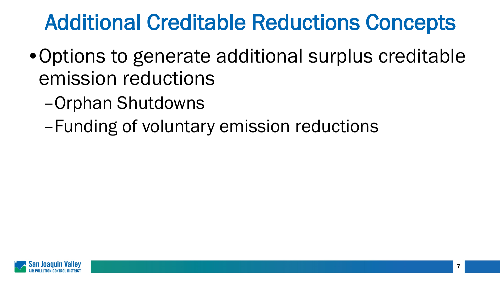#### Additional Creditable Reductions Concepts

- •Options to generate additional surplus creditable emission reductions
	- –Orphan Shutdowns
	- –Funding of voluntary emission reductions

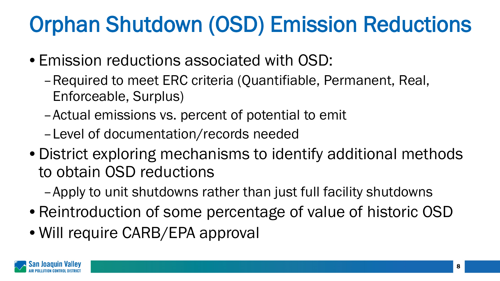### Orphan Shutdown (OSD) Emission Reductions

- Emission reductions associated with OSD:
	- –Required to meet ERC criteria (Quantifiable, Permanent, Real, Enforceable, Surplus)
	- –Actual emissions vs. percent of potential to emit
	- –Level of documentation/records needed
- District exploring mechanisms to identify additional methods to obtain OSD reductions
	- –Apply to unit shutdowns rather than just full facility shutdowns
- Reintroduction of some percentage of value of historic OSD
- Will require CARB/EPA approval

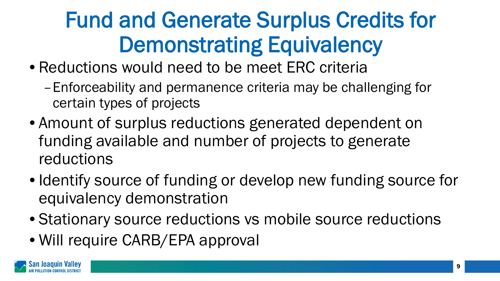## Fund and Generate Surplus Credits for Demonstrating Equivalency

- Reductions would need to be meet ERC criteria
	- –Enforceability and permanence criteria may be challenging for certain types of projects
- Amount of surplus reductions generated dependent on funding available and number of projects to generate reductions
- Identify source of funding or develop new funding source for equivalency demonstration
- Stationary source reductions vs mobile source reductions
- Will require CARB/EPA approval

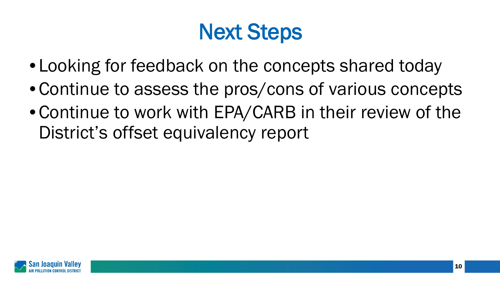#### Next Steps

- Looking for feedback on the concepts shared today
- Continue to assess the pros/cons of various concepts
- Continue to work with EPA/CARB in their review of the District's offset equivalency report